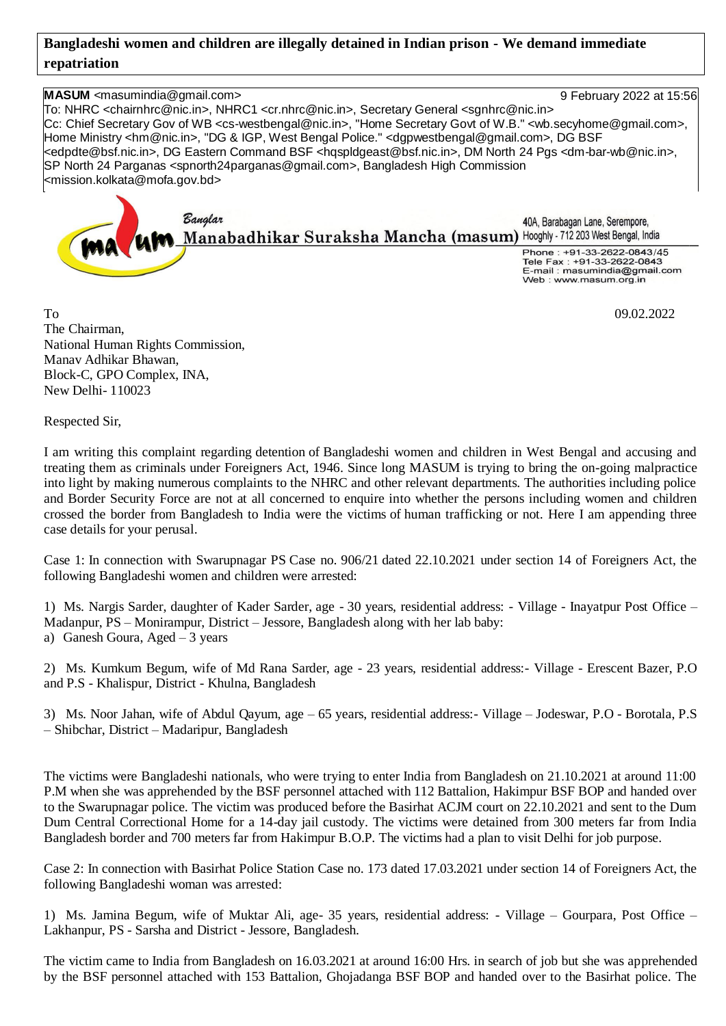## **Bangladeshi women and children are illegally detained in Indian prison - We demand immediate repatriation**

**MASUM** <masumindia@gmail.com> 9 February 2022 at 15:56 To: NHRC <chairnhrc@nic.in>, NHRC1 <cr.nhrc@nic.in>, Secretary General <sgnhrc@nic.in> Cc: Chief Secretary Gov of WB <cs-westbengal@nic.in>, "Home Secretary Govt of W.B." <wb.secyhome@gmail.com>, Home Ministry <hm@nic.in>, "DG & IGP, West Bengal Police." <dgpwestbengal@gmail.com>, DG BSF <edpdte@bsf.nic.in>, DG Eastern Command BSF <hqspldgeast@bsf.nic.in>, DM North 24 Pgs <dm-bar-wb@nic.in>, SP North 24 Parganas <spnorth24parganas@gmail.com>, Bangladesh High Commission <mission.kolkata@mofa.gov.bd>

Banglar 40A, Barabagan Lane, Serempore, 40A, Barabagan Lane, Serempore,<br>Manabadhikar Suraksha Mancha (masum) Hooghly - 712 203 West Bengal, India Phone: +91-33-2622-0843/45 Thone: 191-33-2022-004074 E-mail : masumindia@gmail.com Web: www.masum.org.in

 $To$  09.02.2022 The Chairman, National Human Rights Commission, Manav Adhikar Bhawan, Block-C, GPO Complex, INA, New Delhi- 110023

Respected Sir,

I am writing this complaint regarding detention of Bangladeshi women and children in West Bengal and accusing and treating them as criminals under Foreigners Act, 1946. Since long MASUM is trying to bring the on-going malpractice into light by making numerous complaints to the NHRC and other relevant departments. The authorities including police and Border Security Force are not at all concerned to enquire into whether the persons including women and children crossed the border from Bangladesh to India were the victims of human trafficking or not. Here I am appending three case details for your perusal.

Case 1: In connection with Swarupnagar PS Case no. 906/21 dated 22.10.2021 under section 14 of Foreigners Act, the following Bangladeshi women and children were arrested:

1) Ms. Nargis Sarder, daughter of Kader Sarder, age - 30 years, residential address: - Village - Inayatpur Post Office – Madanpur, PS – Monirampur, District – Jessore, Bangladesh along with her lab baby: a) Ganesh Goura, Aged – 3 years

2) Ms. Kumkum Begum, wife of Md Rana Sarder, age - 23 years, residential address:- Village - Erescent Bazer, P.O and P.S - Khalispur, District - Khulna, Bangladesh

3) Ms. Noor Jahan, wife of Abdul Qayum, age – 65 years, residential address:- Village – Jodeswar, P.O - Borotala, P.S – Shibchar, District – Madaripur, Bangladesh

The victims were Bangladeshi nationals, who were trying to enter India from Bangladesh on 21.10.2021 at around 11:00 P.M when she was apprehended by the BSF personnel attached with 112 Battalion, Hakimpur BSF BOP and handed over to the Swarupnagar police. The victim was produced before the Basirhat ACJM court on 22.10.2021 and sent to the Dum Dum Central Correctional Home for a 14-day jail custody. The victims were detained from 300 meters far from India Bangladesh border and 700 meters far from Hakimpur B.O.P. The victims had a plan to visit Delhi for job purpose.

Case 2: In connection with Basirhat Police Station Case no. 173 dated 17.03.2021 under section 14 of Foreigners Act, the following Bangladeshi woman was arrested:

1) Ms. Jamina Begum, wife of Muktar Ali, age- 35 years, residential address: - Village – Gourpara, Post Office – Lakhanpur, PS - Sarsha and District - Jessore, Bangladesh.

The victim came to India from Bangladesh on 16.03.2021 at around 16:00 Hrs. in search of job but she was apprehended by the BSF personnel attached with 153 Battalion, Ghojadanga BSF BOP and handed over to the Basirhat police. The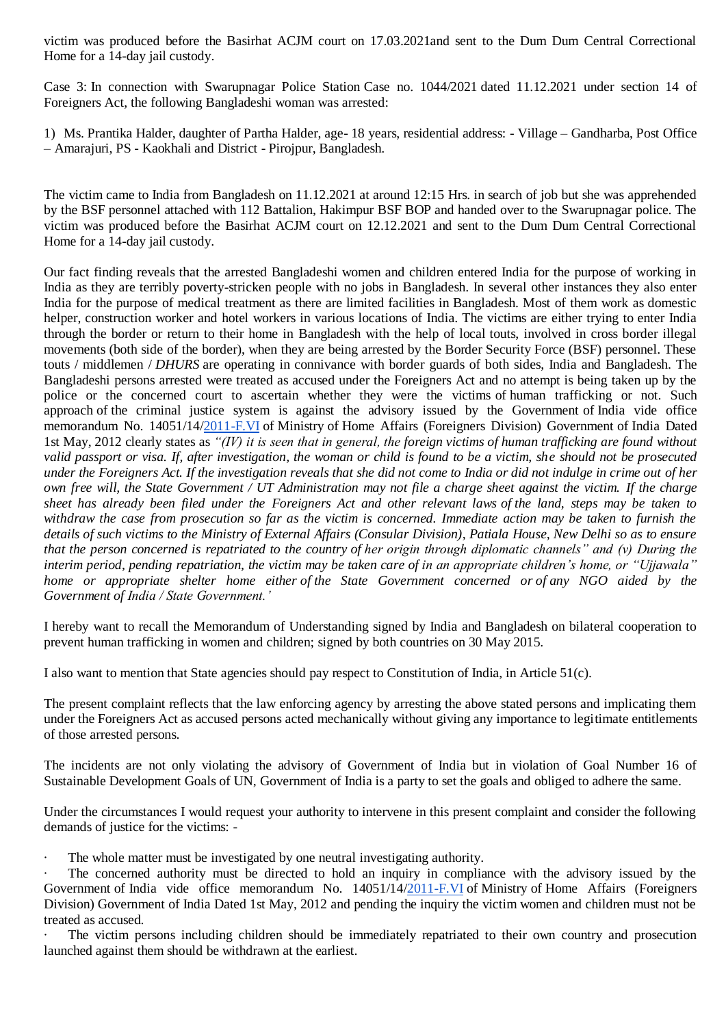victim was produced before the Basirhat ACJM court on 17.03.2021and sent to the Dum Dum Central Correctional Home for a 14-day jail custody.

Case 3: In connection with Swarupnagar Police Station Case no. 1044/2021 dated 11.12.2021 under section 14 of Foreigners Act, the following Bangladeshi woman was arrested:

1) Ms. Prantika Halder, daughter of Partha Halder, age- 18 years, residential address: - Village – Gandharba, Post Office – Amarajuri, PS - Kaokhali and District - Pirojpur, Bangladesh.

The victim came to India from Bangladesh on 11.12.2021 at around 12:15 Hrs. in search of job but she was apprehended by the BSF personnel attached with 112 Battalion, Hakimpur BSF BOP and handed over to the Swarupnagar police. The victim was produced before the Basirhat ACJM court on 12.12.2021 and sent to the Dum Dum Central Correctional Home for a 14-day jail custody.

Our fact finding reveals that the arrested Bangladeshi women and children entered India for the purpose of working in India as they are terribly poverty-stricken people with no jobs in Bangladesh. In several other instances they also enter India for the purpose of medical treatment as there are limited facilities in Bangladesh. Most of them work as domestic helper, construction worker and hotel workers in various locations of India. The victims are either trying to enter India through the border or return to their home in Bangladesh with the help of local touts, involved in cross border illegal movements (both side of the border), when they are being arrested by the Border Security Force (BSF) personnel. These touts / middlemen / *DHURS* are operating in connivance with border guards of both sides, India and Bangladesh. The Bangladeshi persons arrested were treated as accused under the Foreigners Act and no attempt is being taken up by the police or the concerned court to ascertain whether they were the victims of human trafficking or not. Such approach of the criminal justice system is against the advisory issued by the Government of India vide office memorandum No. 14051/14[/2011-F.VI](http://2011-f.vi/) of Ministry of Home Affairs (Foreigners Division) Government of India Dated 1st May, 2012 clearly states as *"(IV) it is seen that in general, the foreign victims of human trafficking are found without valid passport or visa. If, after investigation, the woman or child is found to be a victim, she should not be prosecuted under the Foreigners Act. If the investigation reveals that she did not come to India or did not indulge in crime out of her own free will, the State Government / UT Administration may not file a charge sheet against the victim. If the charge sheet has already been filed under the Foreigners Act and other relevant laws of the land, steps may be taken to withdraw the case from prosecution so far as the victim is concerned. Immediate action may be taken to furnish the details of such victims to the Ministry of External Affairs (Consular Division), Patiala House, New Delhi so as to ensure that the person concerned is repatriated to the country of her origin through diplomatic channels" and (v) During the interim period, pending repatriation, the victim may be taken care of in an appropriate children's home, or "Ujjawala" home or appropriate shelter home either of the State Government concerned or of any NGO aided by the Government of India / State Government.'*

I hereby want to recall the Memorandum of Understanding signed by India and Bangladesh on bilateral cooperation to prevent human trafficking in women and children; signed by both countries on 30 May 2015.

I also want to mention that State agencies should pay respect to Constitution of India, in Article 51(c).

The present complaint reflects that the law enforcing agency by arresting the above stated persons and implicating them under the Foreigners Act as accused persons acted mechanically without giving any importance to legitimate entitlements of those arrested persons.

The incidents are not only violating the advisory of Government of India but in violation of Goal Number 16 of Sustainable Development Goals of UN, Government of India is a party to set the goals and obliged to adhere the same.

Under the circumstances I would request your authority to intervene in this present complaint and consider the following demands of justice for the victims: -

· The whole matter must be investigated by one neutral investigating authority.

The concerned authority must be directed to hold an inquiry in compliance with the advisory issued by the Government of India vide office memorandum No. 14051/14[/2011-F.VI](http://2011-f.vi/) of Ministry of Home Affairs (Foreigners Division) Government of India Dated 1st May, 2012 and pending the inquiry the victim women and children must not be treated as accused.

The victim persons including children should be immediately repatriated to their own country and prosecution launched against them should be withdrawn at the earliest.